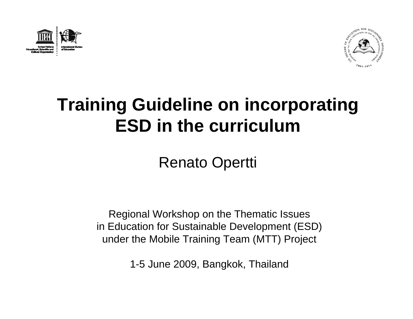



# **Training Guideline on incorporating ESD in the curriculum**

Renato Opertti

Regional Workshop on the Thematic Issues in Education for Sustainable Development (ESD) under the Mobile Training Team (MTT) Project

1-5 June 2009, Bangkok, Thailand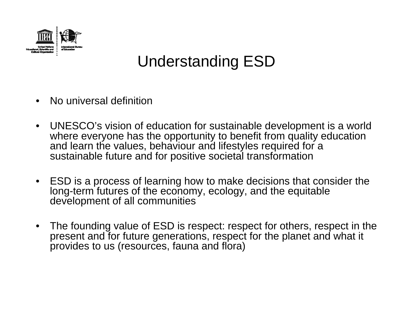

### Understanding ESD

- •No universal definition
- $\bullet$  UNESCO's vision of education for sustainable development is a world where everyone has the opportunity to benefit from quality education and learn the values, behaviour and lifestyles required for a sustainable future and for positive societal transformation
- $\bullet$  ESD is a process of learning how to make decisions that consider the long-term futures of the economy, ecology, and the equitable development of all communities
- $\bullet$  The founding value of ESD is respect: respect for others, respect in the present and for future generations, respect for the planet and what it provides to us (resources, fauna and flora)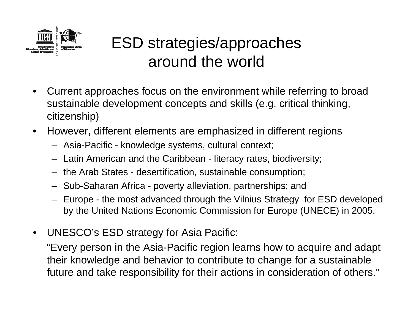

# ESD strategies/approaches around the world

- • Current approaches focus on the environment while referring to broad sustainable development concepts and skills (e.g. critical thinking, citizenship)
- $\bullet$  However, different elements are emphasized in different regions
	- Asia-Pacific knowledge systems, cultural context;
	- Latin American and the Caribbean literacy rates, biodiversity;
	- the Arab States desertification, sustainable consumption;
	- Sub-Saharan Africa poverty alleviation, partnerships; and
	- Europe the most advanced through the Vilnius Strategy for ESD developed by the United Nations Economic Commission for Europe (UNECE) in 2005.
- •UNESCO's ESD strategy for Asia Pacific:

"Every person in the Asia-Pacific region learns how to acquire and adapt their knowledge and behavior to contribute to change for a sustainable future and take responsibility for their actions in consideration of others."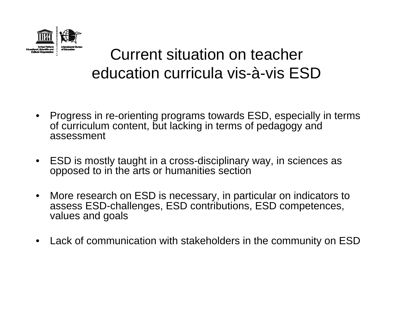

### Current situation on teacher education curricula vis-à-vis ESD

- $\bullet$  Progress in re-orienting programs towards ESD, especially in terms of curriculum content, but lacking in terms of pedagogy and assessment
- $\bullet$  ESD is mostly taught in a cross-disciplinary way, in sciences as opposed to in the arts or humanities section
- $\bullet$  More research on ESD is necessary, in particular on indicators to assess ESD-challenges, ESD contributions, ESD competences, values and goals
- $\bullet$ Lack of communication with stakeholders in the community on ESD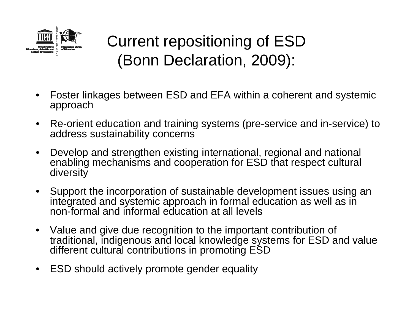

## Current repositioning of ESD (Bonn Declaration, 2009):

- • Foster linkages between ESD and EFA within a coherent and systemic approach
- $\bullet$  Re-orient education and training systems (pre-service and in-service) to address sustainability concerns
- $\bullet$  Develop and strengthen existing international, regional and national enabling mechanisms and cooperation for ESD that respect cultural diversity
- $\bullet$  Support the incorporation of sustainable development issues using an integrated and systemic approach in formal education as well as in non-formal and informal education at all levels
- $\bullet$  Value and give due recognition to the important contribution of traditional, indigenous and local knowledge systems for ESD and value different cultural contributions in promoting ESD
- $\bullet$ ESD should actively promote gender equality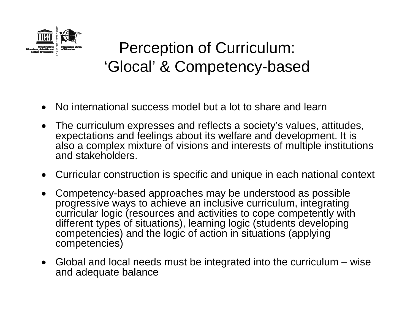

### Perception of Curriculum: 'Glocal' & Competency-based

- •No international success model but a lot to share and learn
- $\bullet$  The curriculum expresses and reflects a society's values, attitudes, expectations and feelings about its welfare and development. It is also a complex mixture of visions and interests of multiple institutions and stakeholders.
- $\bullet$ Curricular construction is specific and unique in each national context
- $\bullet$  Competency-based approaches may be understood as possible progressive ways to achieve an inclusive curriculum, integrating curricular logic (resources and activities to cope competently with different types of situations), learning logic (students developing competencies) and the logic of action in situations (applying competencies)
- Global and local needs must be integrated into the curriculum wise and adequate balance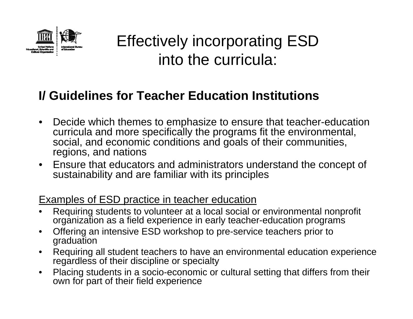

### **I/ Guidelines for Teacher Education Institutions**

- • Decide which themes to emphasize to ensure that teacher-education curricula and more specifically the programs fit the environmental, social, and economic conditions and goals of their communities, regions, and nations
- Ensure that educators and administrators understand the concept of sustainability and are familiar with its principles

#### Examples of ESD practice in teacher education

- • Requiring students to volunteer at a local social or environmental nonprofit organization as a field experience in early teacher-education programs
- $\bullet$  Offering an intensive ESD workshop to pre-service teachers prior to graduation
- • Requiring all student teachers to have an environmental education experience regardless of their discipline or specialty
- $\bullet$  Placing students in a socio-economic or cultural setting that differs from their own for part of their field experience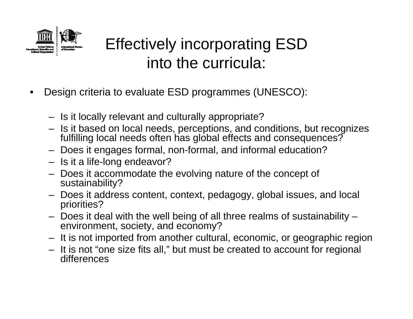

- • Design criteria to evaluate ESD programmes (UNESCO):
	- Is it locally relevant and culturally appropriate?
	- Is it based on local needs, perceptions, and conditions, but recognizes fulfilling local needs often has global effects and consequences?
	- Does it engages formal, non-formal, and informal education?
	- Is it a life-long endeavor?
	- Does it accommodate the evolving nature of the concept of sustainability?
	- Does it address content, context, pedagogy, global issues, and local priorities?
	- Does it deal with the well being of all three realms of sustainability environment, society, and economy?
	- It is not imported from another cultural, economic, or geographic region
	- It is not "one size fits all," but must be created to account for regional differences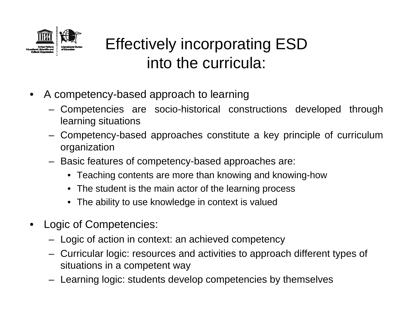

- $\bullet$  A competency-based approach to learning
	- – Competencies are socio-historical constructions developed through learning situations
	- – Competency-based approaches constitute a key principle of curriculum organization
	- Basic features of competency-based approaches are:
		- Teaching contents are more than knowing and knowing-how
		- The student is the main actor of the learning process
		- The ability to use knowledge in context is valued
- $\bullet$  Logic of Competencies:
	- Logic of action in context: an achieved competency
	- – Curricular logic: resources and activities to approach different types of situations in a competent way
	- Learning logic: students develop competencies by themselves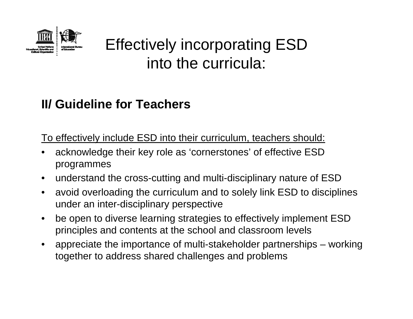

### **II/ Guideline for Teachers**

To effectively include ESD into their curriculum, teachers should:

- • acknowledge their key role as 'cornerstones' of effective ESD programmes
- $\bullet$ understand the cross-cutting and multi-disciplinary nature of ESD
- $\bullet$  avoid overloading the curriculum and to solely link ESD to disciplines under an inter-disciplinary perspective
- $\bullet$  be open to diverse learning strategies to effectively implement ESD principles and contents at the school and classroom levels
- • appreciate the importance of multi-stakeholder partnerships – working together to address shared challenges and problems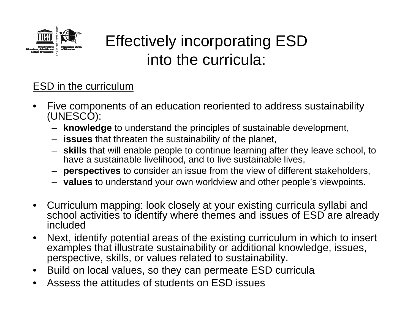

### ESD in the curriculum

- • Five components of an education reoriented to address sustainability (UNESCO):
	- **knowledge** to understand the principles of sustainable development,
	- **issues** that threaten the sustainability of the planet,
	- **skills** that will enable people to continue learning after they leave school, to have a sustainable livelihood, and to live sustainable lives,
	- **perspectives** to consider an issue from the view of different stakeholders,
	- **values** to understand your own worldview and other people's viewpoints.
- • Curriculum mapping: look closely at your existing curricula syllabi and school activities to identify where themes and issues of ESD are already included
- • Next, identify potential areas of the existing curriculum in which to insert examples that illustrate sustainability or additional knowledge, issues, perspective, skills, or values related to sustainability.
- $\bullet$ Build on local values, so they can permeate ESD curricula
- •Assess the attitudes of students on ESD issues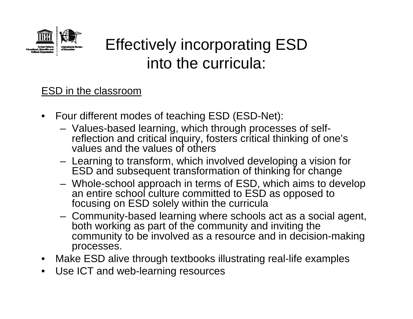

#### ESD in the classroom

- $\bullet$  Four different modes of teaching ESD (ESD-Net):
	- Values-based learning, which through processes of selfreflection and critical inquiry, fosters critical thinking of one's values and the values of others
	- Learning to transform, which involved developing a vision for ESD and subsequent transformation of thinking for change
	- Whole-school approach in terms of ESD, which aims to develop an entire school culture committed to ESD as opposed to focusing on ESD solely within the curricula
	- Community-based learning where schools act as a social agent, both working as part of the community and inviting the community to be involved as a resource and in decision-making processes.
- $\bullet$ Make ESD alive through textbooks illustrating real-life examples
- $\bullet$ Use ICT and web-learning resources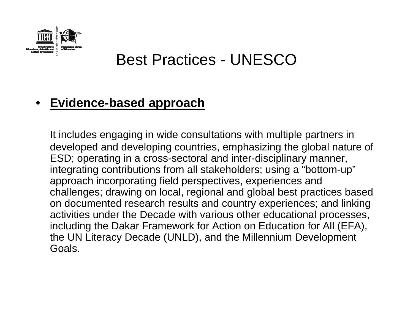

### Best Practices - UNESCO

#### •**Evidence-based approach**

It includes engaging in wide consultations with multiple partners in developed and developing countries, emphasizing the global nature of ESD; operating in a cross-sectoral and inter-disciplinary manner, integrating contributions from all stakeholders; using a "bottom-up" approach incorporating field perspectives, experiences and challenges; drawing on local, regional and global best practices based on documented research results and country experiences; and linking activities under the Decade with various other educational processes, including the Dakar Framework for Action on Education for All (EFA), the UN Literacy Decade (UNLD), and the Millennium Development Goals.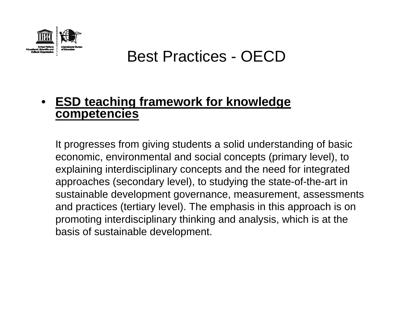

### Best Practices - OECD

#### • **ESD teaching framework for knowledge competencies**

It progresses from giving students a solid understanding of basic economic, environmental and social concepts (primary level), to explaining interdisciplinary concepts and the need for integrated approaches (secondary level), to studying the state-of-the-art in sustainable development governance, measurement, assessments and practices (tertiary level). The emphasis in this approach is on promoting interdisciplinary thinking and analysis, which is at the basis of sustainable development.